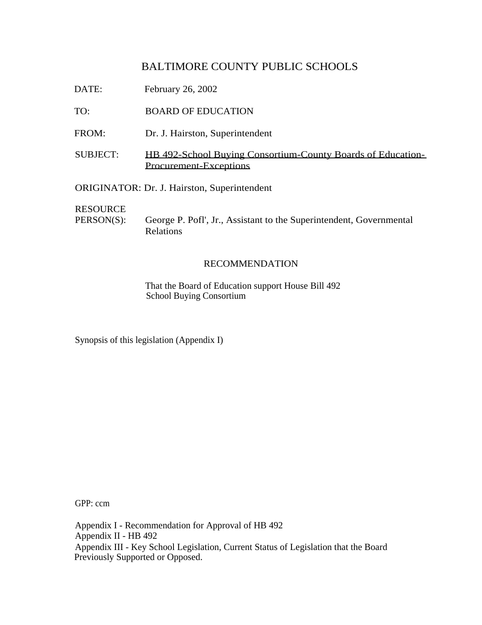DATE: February 26, 2002

TO: BOARD OF EDUCATION

- FROM: Dr. J. Hairston, Superintendent
- SUBJECT: HB 492-School Buying Consortium-County Boards of Education-Procurement-Exceptions

ORIGINATOR: Dr. J. Hairston, Superintendent

RESOURCE

PERSON(S): George P. Pofl', Jr., Assistant to the Superintendent, Governmental Relations

### RECOMMENDATION

That the Board of Education support House Bill 492 School Buying Consortium

Synopsis of this legislation (Appendix I)

GPP: ccm

Appendix I - Recommendation for Approval of HB 492 Appendix II - HB 492 Appendix III - Key School Legislation, Current Status of Legislation that the Board Previously Supported or Opposed.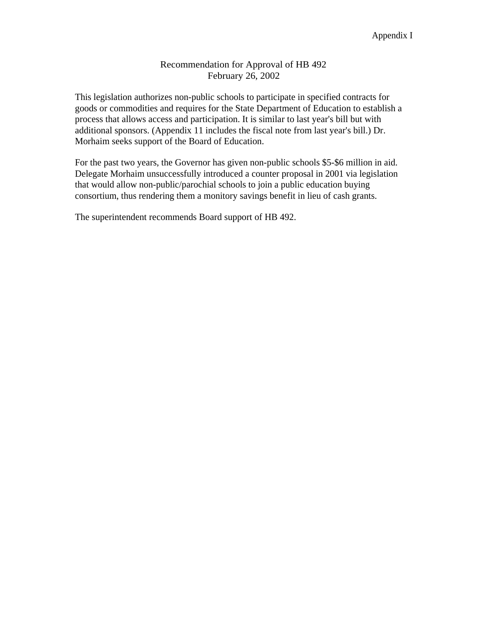## Recommendation for Approval of HB 492 February 26, 2002

This legislation authorizes non-public schools to participate in specified contracts for goods or commodities and requires for the State Department of Education to establish a process that allows access and participation. It is similar to last year's bill but with additional sponsors. (Appendix 11 includes the fiscal note from last year's bill.) Dr. Morhaim seeks support of the Board of Education.

For the past two years, the Governor has given non-public schools \$5-\$6 million in aid. Delegate Morhaim unsuccessfully introduced a counter proposal in 2001 via legislation that would allow non-public/parochial schools to join a public education buying consortium, thus rendering them a monitory savings benefit in lieu of cash grants.

The superintendent recommends Board support of HB 492.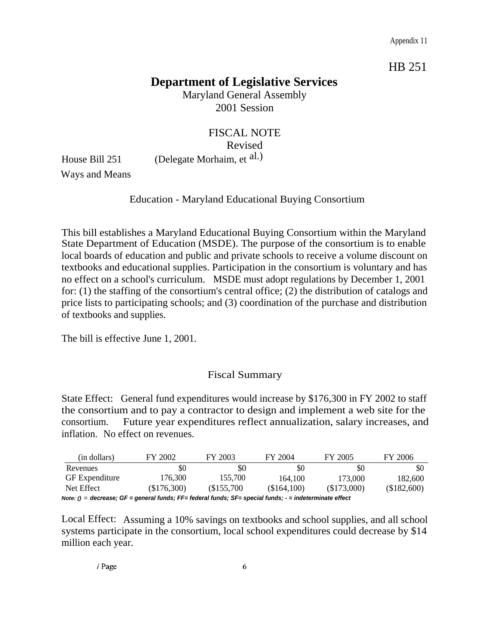Appendix 11

HB 251

# **Department of Legislative Services**

Maryland General Assembly 2001 Session

FISCAL NOTE Revised House Bill 251 (Delegate Morhaim, et al.)

Ways and Means

## Education - Maryland Educational Buying Consortium

This bill establishes a Maryland Educational Buying Consortium within the Maryland State Department of Education (MSDE). The purpose of the consortium is to enable local boards of education and public and private schools to receive a volume discount on textbooks and educational supplies. Participation in the consortium is voluntary and has no effect on a school's curriculum. MSDE must adopt regulations by December 1, 2001 for: (1) the staffing of the consortium's central office; (2) the distribution of catalogs and price lists to participating schools; and (3) coordination of the purchase and distribution of textbooks and supplies.

The bill is effective June 1, 2001.

# Fiscal Summary

State Effect: General fund expenditures would increase by \$176,300 in FY 2002 to staff the consortium and to pay a contractor to design and implement a web site for the consortium. Future year expenditures reflect annualization, salary increases, and inflation. No effect on revenues.

| (in dollars)                                                                                            | FY 2002     | FY 2003    | FY 2004     | FY 2005     | FY 2006     |
|---------------------------------------------------------------------------------------------------------|-------------|------------|-------------|-------------|-------------|
| Revenues                                                                                                | \$0         | \$0        | \$0         | \$0         | \$0         |
| <b>GF</b> Expenditure                                                                                   | 176,300     | 155.700    | 164.100     | 173,000     | 182,600     |
| Net Effect                                                                                              | (\$176,300) | (S155.700) | (\$164,100) | (\$173,000) | (\$182,600) |
| Note: () = decrease: GF = general funds: FF= federal funds: SF= special funds: - = indeterminate effect |             |            |             |             |             |

Local Effect: Assuming a 10% savings on textbooks and school supplies, and all school systems participate in the consortium, local school expenditures could decrease by \$14 million each year.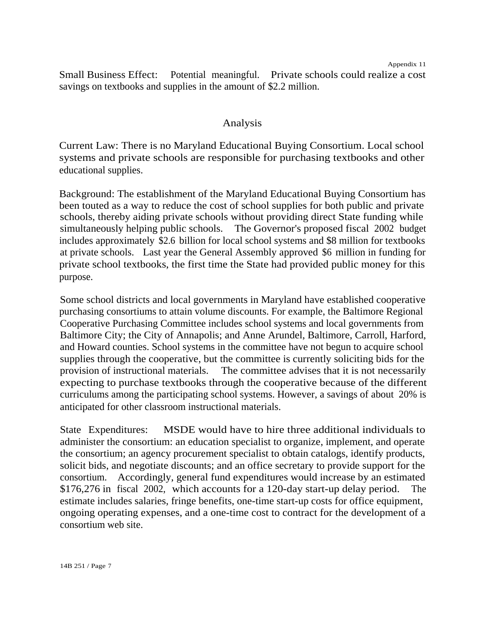Small Business Effect: Potential meaningful. Private schools could realize a cost savings on textbooks and supplies in the amount of \$2.2 million.

## Analysis

Current Law: There is no Maryland Educational Buying Consortium. Local school systems and private schools are responsible for purchasing textbooks and other educational supplies.

Background: The establishment of the Maryland Educational Buying Consortium has been touted as a way to reduce the cost of school supplies for both public and private schools, thereby aiding private schools without providing direct State funding while simultaneously helping public schools. The Governor's proposed fiscal 2002 budget includes approximately \$2.6 billion for local school systems and \$8 million for textbooks at private schools. Last year the General Assembly approved \$6 million in funding for private school textbooks, the first time the State had provided public money for this purpose.

Some school districts and local governments in Maryland have established cooperative purchasing consortiums to attain volume discounts. For example, the Baltimore Regional Cooperative Purchasing Committee includes school systems and local governments from Baltimore City; the City of Annapolis; and Anne Arundel, Baltimore, Carroll, Harford, and Howard counties. School systems in the committee have not begun to acquire school supplies through the cooperative, but the committee is currently soliciting bids for the provision of instructional materials. The committee advises that it is not necessarily expecting to purchase textbooks through the cooperative because of the different curriculums among the participating school systems. However, a savings of about 20% is anticipated for other classroom instructional materials.

State Expenditures: MSDE would have to hire three additional individuals to administer the consortium: an education specialist to organize, implement, and operate the consortium; an agency procurement specialist to obtain catalogs, identify products, solicit bids, and negotiate discounts; and an office secretary to provide support for the consortium. Accordingly, general fund expenditures would increase by an estimated \$176,276 in fiscal 2002, which accounts for a 120-day start-up delay period. The estimate includes salaries, fringe benefits, one-time start-up costs for office equipment, ongoing operating expenses, and a one-time cost to contract for the development of a consortium web site.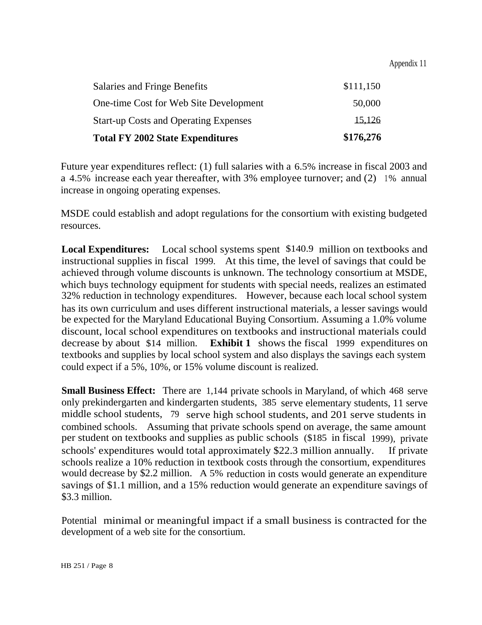Appendix 11

| <b>Total FY 2002 State Expenditures</b>      | \$176,276 |
|----------------------------------------------|-----------|
| <b>Start-up Costs and Operating Expenses</b> | 15,126    |
| One-time Cost for Web Site Development       | 50,000    |
| <b>Salaries and Fringe Benefits</b>          | \$111,150 |

Future year expenditures reflect: (1) full salaries with a 6.5% increase in fiscal 2003 and a 4.5% increase each year thereafter, with 3% employee turnover; and (2) 1% annual increase in ongoing operating expenses.

MSDE could establish and adopt regulations for the consortium with existing budgeted resources.

**Local Expenditures:** Local school systems spent \$140.9 million on textbooks and instructional supplies in fiscal 1999. At this time, the level of savings that could be achieved through volume discounts is unknown. The technology consortium at MSDE, which buys technology equipment for students with special needs, realizes an estimated 32% reduction in technology expenditures. However, because each local school system has its own curriculum and uses different instructional materials, a lesser savings would be expected for the Maryland Educational Buying Consortium. Assuming a 1.0% volume discount, local school expenditures on textbooks and instructional materials could decrease by about \$14 million. **Exhibit 1** shows the fiscal 1999 expenditures on textbooks and supplies by local school system and also displays the savings each system could expect if a 5%, 10%, or 15% volume discount is realized.

**Small Business Effect:** There are 1,144 private schools in Maryland, of which 468 serve only prekindergarten and kindergarten students, 385 serve elementary students, 11 serve middle school students, 79 serve high school students, and 201 serve students in combined schools. Assuming that private schools spend on average, the same amount per student on textbooks and supplies as public schools (\$185 in fiscal 1999), private schools' expenditures would total approximately \$22.3 million annually. If private schools realize a 10% reduction in textbook costs through the consortium, expenditures would decrease by \$2.2 million. A 5% reduction in costs would generate an expenditure savings of \$1.1 million, and a 15% reduction would generate an expenditure savings of \$3.3 million.

Potential minimal or meaningful impact if a small business is contracted for the development of a web site for the consortium.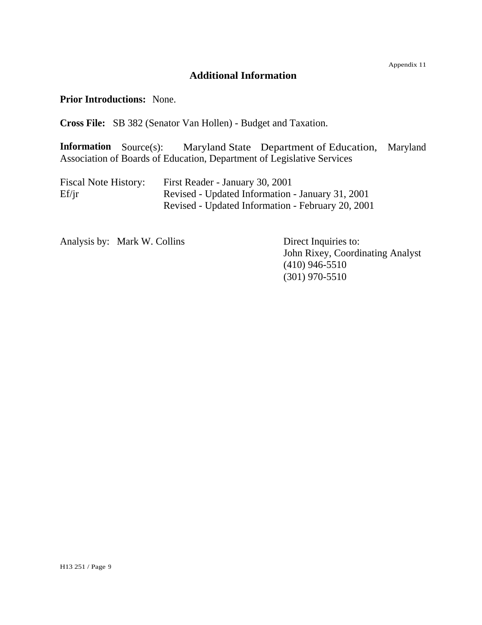# **Additional Information**

**Prior Introductions:** None.

**Cross File:** SB 382 (Senator Van Hollen) - Budget and Taxation.

**Information** Source(s): Maryland State Department of Education, Maryland Association of Boards of Education, Department of Legislative Services

| <b>Fiscal Note History:</b> | First Reader - January 30, 2001                   |
|-----------------------------|---------------------------------------------------|
| Ef/ir                       | Revised - Updated Information - January 31, 2001  |
|                             | Revised - Updated Information - February 20, 2001 |

Analysis by: Mark W. Collins Direct Inquiries to:

John Rixey, Coordinating Analyst (410) 946-5510 (301) 970-5510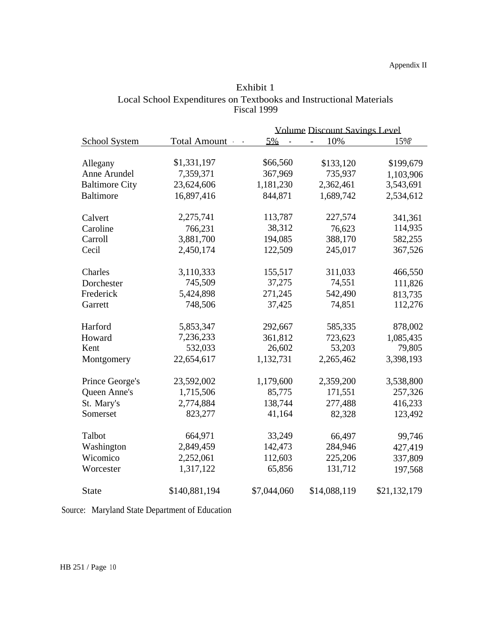|                       |               |              | <b>Volume Discount Savings Level</b> |              |
|-----------------------|---------------|--------------|--------------------------------------|--------------|
| School System         | Total Amount  | 5%<br>$\sim$ | 10%<br>$\overline{a}$                | 15%°         |
|                       |               |              |                                      |              |
| Allegany              | \$1,331,197   | \$66,560     | \$133,120                            | \$199,679    |
| Anne Arundel          | 7,359,371     | 367,969      | 735,937                              | 1,103,906    |
| <b>Baltimore City</b> | 23,624,606    | 1,181,230    | 2,362,461                            | 3,543,691    |
| <b>Baltimore</b>      | 16,897,416    | 844,871      | 1,689,742                            | 2,534,612    |
|                       |               |              |                                      |              |
| Calvert               | 2,275,741     | 113,787      | 227,574                              | 341,361      |
| Caroline              | 766,231       | 38,312       | 76,623                               | 114,935      |
| Carroll               | 3,881,700     | 194,085      | 388,170                              | 582,255      |
| Cecil                 | 2,450,174     | 122,509      | 245,017                              | 367,526      |
|                       |               |              |                                      |              |
| Charles               | 3,110,333     | 155,517      | 311,033                              | 466,550      |
| Dorchester            | 745,509       | 37,275       | 74,551                               | 111,826      |
| Frederick             | 5,424,898     | 271,245      | 542,490                              | 813,735      |
| Garrett               | 748,506       | 37,425       | 74,851                               | 112,276      |
|                       |               |              |                                      |              |
| Harford               | 5,853,347     | 292,667      | 585,335                              | 878,002      |
| Howard                | 7,236,233     | 361,812      | 723,623                              | 1,085,435    |
| Kent                  | 532,033       | 26,602       | 53,203                               | 79,805       |
| Montgomery            | 22,654,617    | 1,132,731    | 2,265,462                            | 3,398,193    |
|                       |               |              |                                      |              |
| Prince George's       | 23,592,002    | 1,179,600    | 2,359,200                            | 3,538,800    |
| <b>Queen Anne's</b>   | 1,715,506     | 85,775       | 171,551                              | 257,326      |
| St. Mary's            | 2,774,884     | 138,744      | 277,488                              | 416,233      |
| Somerset              | 823,277       | 41,164       | 82,328                               | 123,492      |
|                       |               |              |                                      |              |
| Talbot                | 664,971       | 33,249       | 66,497                               | 99,746       |
| Washington            | 2,849,459     | 142,473      | 284,946                              | 427,419      |
| Wicomico              | 2,252,061     | 112,603      | 225,206                              | 337,809      |
| Worcester             | 1,317,122     | 65,856       | 131,712                              | 197,568      |
|                       |               |              |                                      |              |
| <b>State</b>          | \$140,881,194 | \$7,044,060  | \$14,088,119                         | \$21,132,179 |

| Exhibit 1                                                          |
|--------------------------------------------------------------------|
| Local School Expenditures on Textbooks and Instructional Materials |
| Fiscal 1999                                                        |

Source: Maryland State Department of Education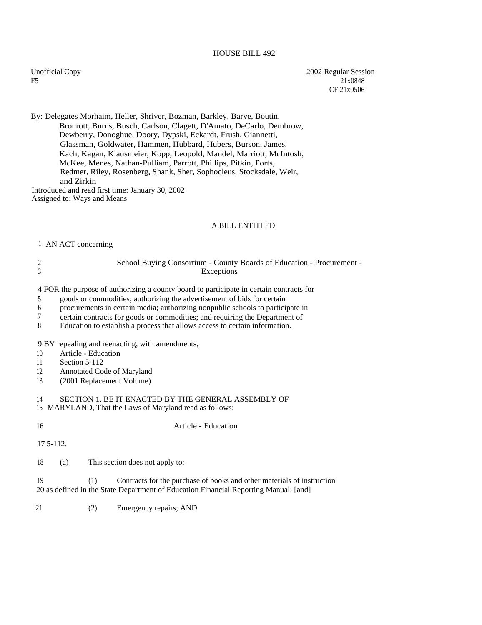### HOUSE BILL 492

Unofficial Copy F5

2002 Regular Session 21x0848 CF 21x0506

By: Delegates Morhaim, Heller, Shriver, Bozman, Barkley, Barve, Boutin, Bronrott, Burns, Busch, Carlson, Clagett, D'Amato, DeCarlo, Dembrow, Dewberry, Donoghue, Doory, Dypski, Eckardt, Frush, Giannetti, Glassman, Goldwater, Hammen, Hubbard, Hubers, Burson, James, Kach, Kagan, Klausmeier, Kopp, Leopold, Mandel, Marriott, McIntosh, McKee, Menes, Nathan-Pulliam, Parrott, Phillips, Pitkin, Ports, Redmer, Riley, Rosenberg, Shank, Sher, Sophocleus, Stocksdale, Weir, and Zirkin Introduced and read first time: January 30, 2002 Assigned to: Ways and Means

### A BILL ENTITLED

#### <sup>1</sup> AN ACT concerning

2 3 Exceptions School Buying Consortium - County Boards of Education - Procurement -

4 FOR the purpose of authorizing a county board to participate in certain contracts for

- 5 goods or commodities; authorizing the advertisement of bids for certain
- 6 procurements in certain media; authorizing nonpublic schools to participate in
- 7 certain contracts for goods or commodities; and requiring the Department of
- 8 Education to establish a process that allows access to certain information.

9 BY repealing and reenacting, with amendments,

- 10 Article Education
- 11 Section 5-112
- 12 Annotated Code of Maryland
- 13 (2001 Replacement Volume)

### 14 SECTION 1. BE IT ENACTED BY THE GENERAL ASSEMBLY OF

- 15 MARYLAND, That the Laws of Maryland read as follows:
- 

16 Article - Education

17 5-112.

18 (a) This section does not apply to:

20 as defined in the State Department of Education Financial Reporting Manual; [and] 19 (1) Contracts for the purchase of books and other materials of instruction

21 (2) Emergency repairs; AND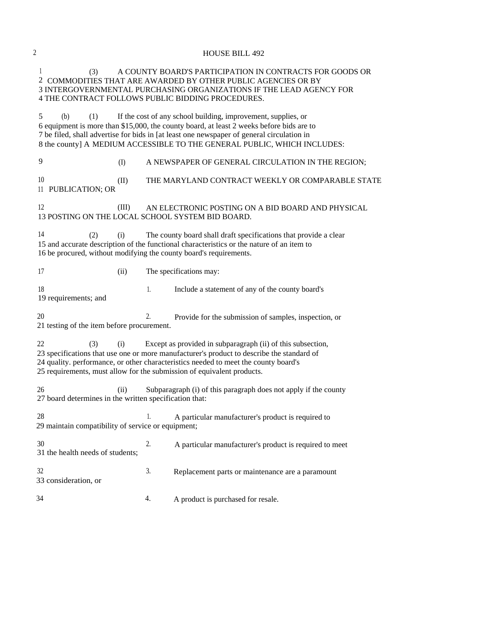| $\overline{c}$ |                                                                                            |    | <b>HOUSE BILL 492</b>                                                                                                                                                                                                                                                                                                              |
|----------------|--------------------------------------------------------------------------------------------|----|------------------------------------------------------------------------------------------------------------------------------------------------------------------------------------------------------------------------------------------------------------------------------------------------------------------------------------|
|                | 1<br>(3)<br>4 THE CONTRACT FOLLOWS PUBLIC BIDDING PROCEDURES.                              |    | A COUNTY BOARD'S PARTICIPATION IN CONTRACTS FOR GOODS OR<br>2 COMMODITIES THAT ARE AWARDED BY OTHER PUBLIC AGENCIES OR BY<br>3 INTERGOVERNMENTAL PURCHASING ORGANIZATIONS IF THE LEAD AGENCY FOR                                                                                                                                   |
|                | 5<br>(b)<br>(1)                                                                            |    | If the cost of any school building, improvement, supplies, or<br>6 equipment is more than \$15,000, the county board, at least 2 weeks before bids are to<br>7 be filed, shall advertise for bids in [at least one newspaper of general circulation in<br>8 the county] A MEDIUM ACCESSIBLE TO THE GENERAL PUBLIC, WHICH INCLUDES: |
|                | 9<br>(I)                                                                                   |    | A NEWSPAPER OF GENERAL CIRCULATION IN THE REGION;                                                                                                                                                                                                                                                                                  |
|                | 10<br>(II)<br>11 PUBLICATION; OR                                                           |    | THE MARYLAND CONTRACT WEEKLY OR COMPARABLE STATE                                                                                                                                                                                                                                                                                   |
|                | 12<br>(III)<br>13 POSTING ON THE LOCAL SCHOOL SYSTEM BID BOARD.                            |    | AN ELECTRONIC POSTING ON A BID BOARD AND PHYSICAL                                                                                                                                                                                                                                                                                  |
|                | 14<br>(2)<br>(i)<br>16 be procured, without modifying the county board's requirements.     |    | The county board shall draft specifications that provide a clear<br>15 and accurate description of the functional characteristics or the nature of an item to                                                                                                                                                                      |
|                | 17<br>(ii)                                                                                 |    | The specifications may:                                                                                                                                                                                                                                                                                                            |
|                | 18<br>19 requirements; and                                                                 | 1. | Include a statement of any of the county board's                                                                                                                                                                                                                                                                                   |
|                | 20<br>21 testing of the item before procurement.                                           | 2. | Provide for the submission of samples, inspection, or                                                                                                                                                                                                                                                                              |
|                | 22<br>(3)<br>(i)<br>25 requirements, must allow for the submission of equivalent products. |    | Except as provided in subparagraph (ii) of this subsection,<br>23 specifications that use one or more manufacturer's product to describe the standard of<br>24 quality. performance, or other characteristics needed to meet the county board's                                                                                    |
|                | 26<br>(ii)<br>27 board determines in the written specification that:                       |    | Subparagraph (i) of this paragraph does not apply if the county                                                                                                                                                                                                                                                                    |
|                | 28<br>29 maintain compatibility of service or equipment;                                   | 1. | A particular manufacturer's product is required to                                                                                                                                                                                                                                                                                 |
|                | 30<br>31 the health needs of students;                                                     | 2. | A particular manufacturer's product is required to meet                                                                                                                                                                                                                                                                            |
|                | 32<br>33 consideration, or                                                                 | 3. | Replacement parts or maintenance are a paramount                                                                                                                                                                                                                                                                                   |
|                | 34                                                                                         | 4. | A product is purchased for resale.                                                                                                                                                                                                                                                                                                 |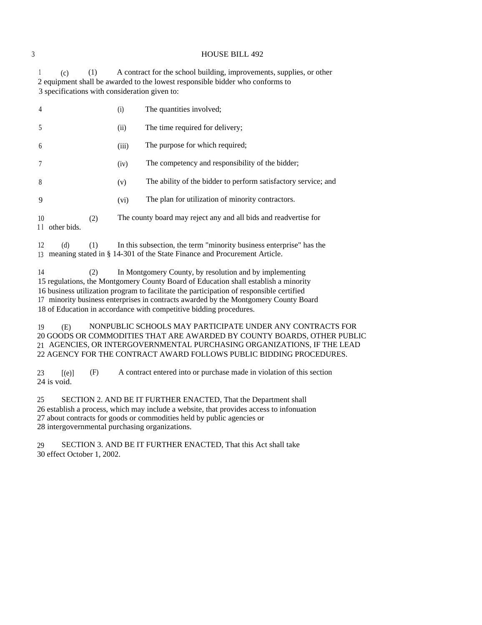### 3 HOUSE BILL 492

<sup>1</sup> (c) (1) A contract for the school building, improvements, supplies, or other 2 equipment shall be awarded to the lowest responsible bidder who conforms to 3 specifications with consideration given to:

| $\overline{4}$          |     | (i)   | The quantities involved;                                         |
|-------------------------|-----|-------|------------------------------------------------------------------|
| .5                      |     | (ii)  | The time required for delivery;                                  |
| 6                       |     | (iii) | The purpose for which required;                                  |
| 7                       |     | (iv)  | The competency and responsibility of the bidder;                 |
| 8                       |     | (v)   | The ability of the bidder to perform satisfactory service; and   |
| 9                       |     | (vi)  | The plan for utilization of minority contractors.                |
| 10<br>11<br>other bids. | (2) |       | The county board may reject any and all bids and readvertise for |

12 (d) (1) In this subsection, the term "minority business enterprise" has the <sup>13</sup> meaning stated in § 14-301 of the State Finance and Procurement Article.

14 (2) In Montgomery County, by resolution and by implementing 15 regulations, the Montgomery County Board of Education shall establish a minority 16 business utilization program to facilitate the participation of responsible certified 17 minority business enterprises in contracts awarded by the Montgomery County Board 18 of Education in accordance with competitive bidding procedures.

19 (E) NONPUBLIC SCHOOLS MAY PARTICIPATE UNDER ANY CONTRACTS FOR 20 GOODS OR COMMODITIES THAT ARE AWARDED BY COUNTY BOARDS, OTHER PUBLIC 21 AGENCIES, OR INTERGOVERNMENTAL PURCHASING ORGANIZATIONS, IF THE LEAD 22 AGENCY FOR THE CONTRACT AWARD FOLLOWS PUBLIC BIDDING PROCEDURES.

23 [(e)] (F) A contract entered into or purchase made in violation of this section 24 is void.

25 SECTION 2. AND BE IT FURTHER ENACTED, That the Department shall 26 establish a process, which may include a website, that provides access to infonuation 27 about contracts for goods or commodities held by public agencies or 28 intergovernmental purchasing organizations.

29 SECTION 3. AND BE IT FURTHER ENACTED, That this Act shall take 30 effect October 1, 2002.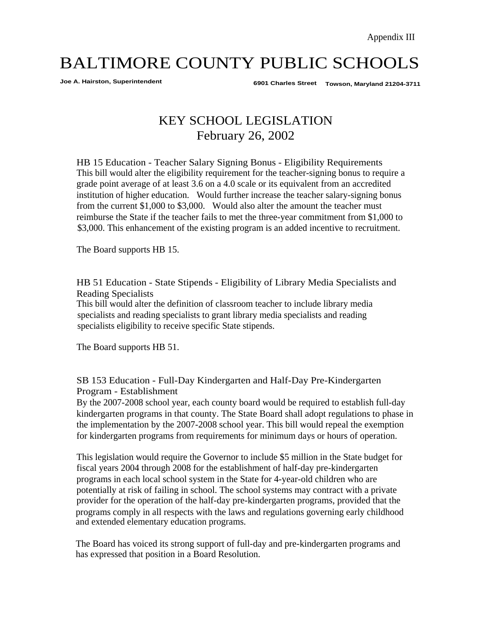**Joe A. Hairston, Superintendent 6901 Charles Street Towson, Maryland 21204-3711**

# KEY SCHOOL LEGISLATION February 26, 2002

HB 15 Education - Teacher Salary Signing Bonus - Eligibility Requirements This bill would alter the eligibility requirement for the teacher-signing bonus to require a grade point average of at least 3.6 on a 4.0 scale or its equivalent from an accredited institution of higher education. Would further increase the teacher salary-signing bonus from the current \$1,000 to \$3,000. Would also alter the amount the teacher must reimburse the State if the teacher fails to met the three-year commitment from \$1,000 to \$3,000. This enhancement of the existing program is an added incentive to recruitment.

The Board supports HB 15.

HB 51 Education - State Stipends - Eligibility of Library Media Specialists and Reading Specialists

This bill would alter the definition of classroom teacher to include library media specialists and reading specialists to grant library media specialists and reading specialists eligibility to receive specific State stipends.

The Board supports HB 51.

SB 153 Education - Full-Day Kindergarten and Half-Day Pre-Kindergarten Program - Establishment

By the 2007-2008 school year, each county board would be required to establish full-day kindergarten programs in that county. The State Board shall adopt regulations to phase in the implementation by the 2007-2008 school year. This bill would repeal the exemption for kindergarten programs from requirements for minimum days or hours of operation.

This legislation would require the Governor to include \$5 million in the State budget for fiscal years 2004 through 2008 for the establishment of half-day pre-kindergarten programs in each local school system in the State for 4-year-old children who are potentially at risk of failing in school. The school systems may contract with a private provider for the operation of the half-day pre-kindergarten programs, provided that the programs comply in all respects with the laws and regulations governing early childhood and extended elementary education programs.

The Board has voiced its strong support of full-day and pre-kindergarten programs and has expressed that position in a Board Resolution.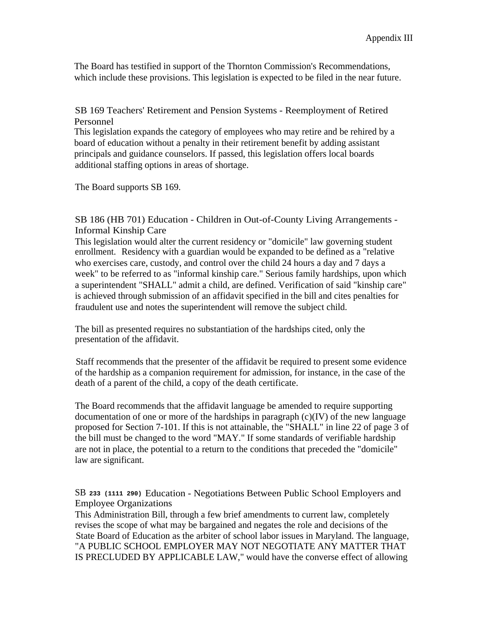The Board has testified in support of the Thornton Commission's Recommendations, which include these provisions. This legislation is expected to be filed in the near future.

SB 169 Teachers' Retirement and Pension Systems - Reemployment of Retired Personnel

This legislation expands the category of employees who may retire and be rehired by a board of education without a penalty in their retirement benefit by adding assistant principals and guidance counselors. If passed, this legislation offers local boards additional staffing options in areas of shortage.

The Board supports SB 169.

SB 186 (HB 701) Education - Children in Out-of-County Living Arrangements - Informal Kinship Care

This legislation would alter the current residency or "domicile" law governing student enrollment. Residency with a guardian would be expanded to be defined as a "relative who exercises care, custody, and control over the child 24 hours a day and 7 days a week" to be referred to as "informal kinship care." Serious family hardships, upon which a superintendent "SHALL" admit a child, are defined. Verification of said "kinship care" is achieved through submission of an affidavit specified in the bill and cites penalties for fraudulent use and notes the superintendent will remove the subject child.

The bill as presented requires no substantiation of the hardships cited, only the presentation of the affidavit.

Staff recommends that the presenter of the affidavit be required to present some evidence of the hardship as a companion requirement for admission, for instance, in the case of the death of a parent of the child, a copy of the death certificate.

The Board recommends that the affidavit language be amended to require supporting documentation of one or more of the hardships in paragraph  $(c)(IV)$  of the new language proposed for Section 7-101. If this is not attainable, the "SHALL" in line 22 of page 3 of the bill must be changed to the word "MAY." If some standards of verifiable hardship are not in place, the potential to a return to the conditions that preceded the "domicile" law are significant.

SB **233 (1111 290)** Education - Negotiations Between Public School Employers and Employee Organizations

This Administration Bill, through a few brief amendments to current law, completely revises the scope of what may be bargained and negates the role and decisions of the State Board of Education as the arbiter of school labor issues in Maryland. The language, "A PUBLIC SCHOOL EMPLOYER MAY NOT NEGOTIATE ANY MATTER THAT IS PRECLUDED BY APPLICABLE LAW," would have the converse effect of allowing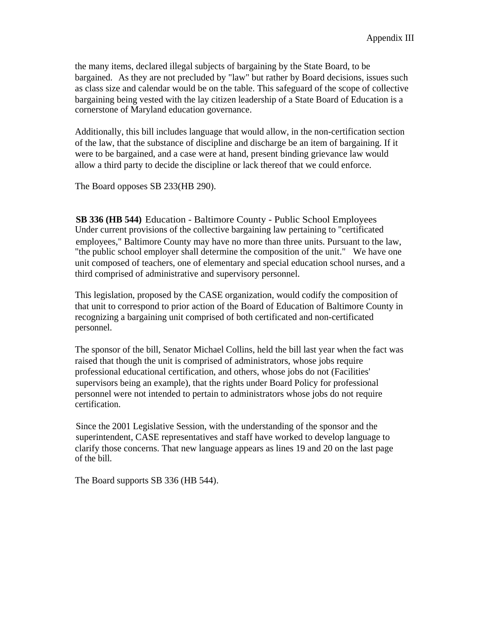the many items, declared illegal subjects of bargaining by the State Board, to be bargained. As they are not precluded by "law" but rather by Board decisions, issues such as class size and calendar would be on the table. This safeguard of the scope of collective bargaining being vested with the lay citizen leadership of a State Board of Education is a cornerstone of Maryland education governance.

Additionally, this bill includes language that would allow, in the non-certification section of the law, that the substance of discipline and discharge be an item of bargaining. If it were to be bargained, and a case were at hand, present binding grievance law would allow a third party to decide the discipline or lack thereof that we could enforce.

The Board opposes SB 233(HB 290).

**SB 336 (HB 544)** Education - Baltimore County - Public School Employees Under current provisions of the collective bargaining law pertaining to "certificated employees," Baltimore County may have no more than three units. Pursuant to the law, "the public school employer shall determine the composition of the unit." We have one unit composed of teachers, one of elementary and special education school nurses, and a third comprised of administrative and supervisory personnel.

This legislation, proposed by the CASE organization, would codify the composition of that unit to correspond to prior action of the Board of Education of Baltimore County in recognizing a bargaining unit comprised of both certificated and non-certificated personnel.

The sponsor of the bill, Senator Michael Collins, held the bill last year when the fact was raised that though the unit is comprised of administrators, whose jobs require professional educational certification, and others, whose jobs do not (Facilities' supervisors being an example), that the rights under Board Policy for professional personnel were not intended to pertain to administrators whose jobs do not require certification.

Since the 2001 Legislative Session, with the understanding of the sponsor and the superintendent, CASE representatives and staff have worked to develop language to clarify those concerns. That new language appears as lines 19 and 20 on the last page of the bill.

The Board supports SB 336 (HB 544).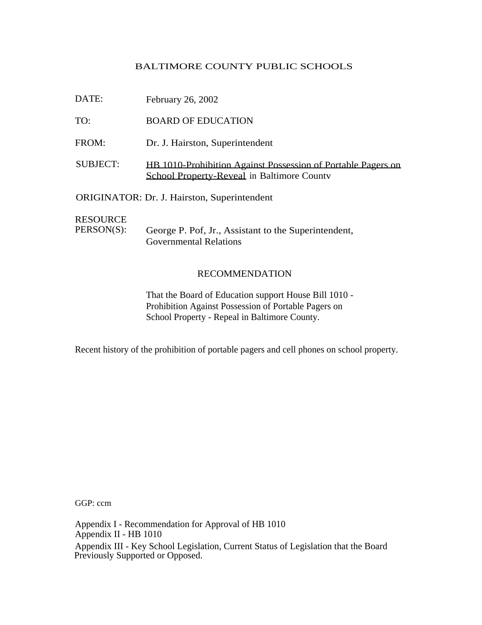| DATE:                         | February 26, 2002                                                                                          |
|-------------------------------|------------------------------------------------------------------------------------------------------------|
| TO:                           | <b>BOARD OF EDUCATION</b>                                                                                  |
| FROM:                         | Dr. J. Hairston, Superintendent                                                                            |
| <b>SUBJECT:</b>               | HB 1010-Prohibition Against Possession of Portable Pagers on<br>School Property-Reveal in Baltimore County |
|                               | <b>ORIGINATOR: Dr. J. Hairston, Superintendent</b>                                                         |
| <b>RESOURCE</b><br>PERSON(S): | George P. Pof, Jr., Assistant to the Superintendent,<br><b>Governmental Relations</b>                      |

## RECOMMENDATION

That the Board of Education support House Bill 1010 - Prohibition Against Possession of Portable Pagers on School Property - Repeal in Baltimore County.

Recent history of the prohibition of portable pagers and cell phones on school property.

GGP: ccm

Appendix I - Recommendation for Approval of HB 1010 Appendix II - HB 1010 Appendix III - Key School Legislation, Current Status of Legislation that the Board Previously Supported or Opposed.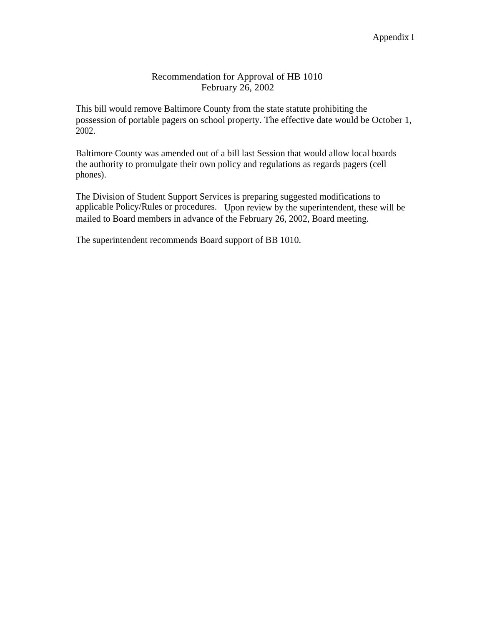## Recommendation for Approval of HB 1010 February 26, 2002

This bill would remove Baltimore County from the state statute prohibiting the possession of portable pagers on school property. The effective date would be October 1, 2002.

Baltimore County was amended out of a bill last Session that would allow local boards the authority to promulgate their own policy and regulations as regards pagers (cell phones).

The Division of Student Support Services is preparing suggested modifications to applicable Policy/Rules or procedures. Upon review by the superintendent, these will be mailed to Board members in advance of the February 26, 2002, Board meeting.

The superintendent recommends Board support of BB 1010.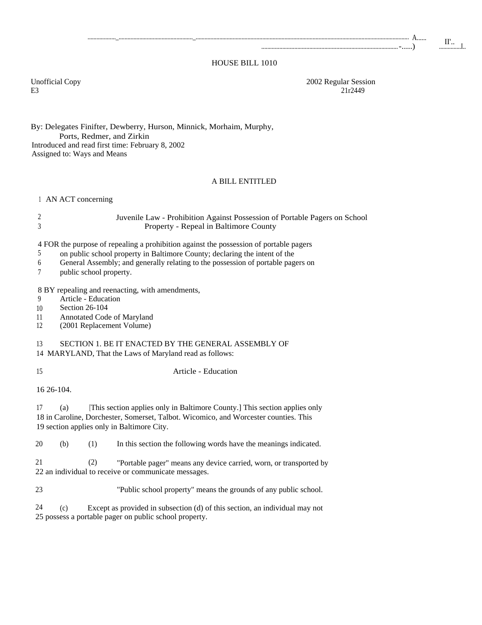#### HOUSE BILL 1010

E3 21r2449

Unofficial Copy 2002 Regular Session<br>E3 21r2449

By: Delegates Finifter, Dewberry, Hurson, Minnick, Morhaim, Murphy, Ports, Redmer, and Zirkin Introduced and read first time: February 8, 2002 Assigned to: Ways and Means

### A BILL ENTITLED

<sup>1</sup> AN ACT concerning

| Juvenile Law - Prohibition Against Possession of Portable Pagers on School |
|----------------------------------------------------------------------------|
| Property - Repeal in Baltimore County                                      |

4 FOR the purpose of repealing a prohibition against the possession of portable pagers<br>5 on public school property in Baltimore County: declaring the intent of the

- 5 on public school property in Baltimore County; declaring the intent of the
- 6 General Assembly; and generally relating to the possession of portable pagers on
- 7 public school property.

8 BY repealing and reenacting, with amendments,

- 9 Article Education
- 10 Section 26-104
- 11 Annotated Code of Maryland
- 12 (2001 Replacement Volume)

### 13 SECTION 1. BE IT ENACTED BY THE GENERAL ASSEMBLY OF

14 MARYLAND, That the Laws of Maryland read as follows:

15 Article - Education

16 26-104.

17 (a) [This section applies only in Baltimore County.] This section applies only 18 in Caroline, Dorchester, Somerset, Talbot. Wicomico, and Worcester counties. This 19 section applies only in Baltimore City.

20 (b) (1) In this section the following words have the meanings indicated.

21 (2) "Portable pager" means any device carried, worn, or transported by 22 an individual to receive or communicate messages.

23 "Public school property" means the grounds of any public school.

24 (c) Except as provided in subsection (d) of this section, an individual may not 25 possess a portable pager on public school property.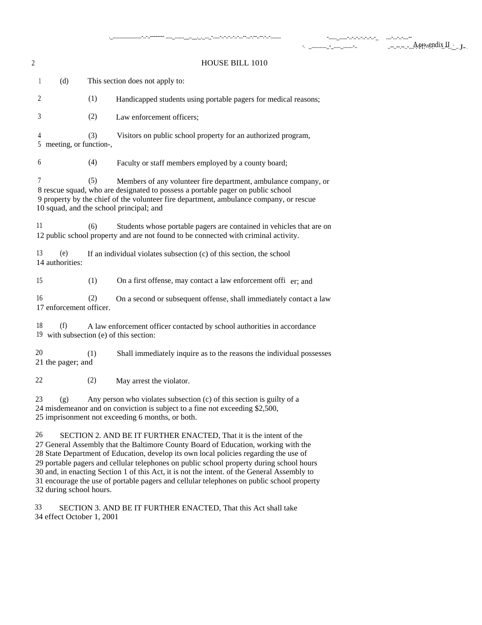| $\overline{c}$ |                                                                                                                                                                                                                                                         |     | <b>HOUSE BILL 1010</b>                                                                                                                                                                                                                                                                  |  |  |
|----------------|---------------------------------------------------------------------------------------------------------------------------------------------------------------------------------------------------------------------------------------------------------|-----|-----------------------------------------------------------------------------------------------------------------------------------------------------------------------------------------------------------------------------------------------------------------------------------------|--|--|
|                | (d)<br>1                                                                                                                                                                                                                                                |     | This section does not apply to:                                                                                                                                                                                                                                                         |  |  |
|                | 2                                                                                                                                                                                                                                                       | (1) | Handicapped students using portable pagers for medical reasons;                                                                                                                                                                                                                         |  |  |
|                | 3                                                                                                                                                                                                                                                       | (2) | Law enforcement officers;                                                                                                                                                                                                                                                               |  |  |
|                | 4<br>5 meeting, or function-,                                                                                                                                                                                                                           | (3) | Visitors on public school property for an authorized program,                                                                                                                                                                                                                           |  |  |
|                | 6                                                                                                                                                                                                                                                       | (4) | Faculty or staff members employed by a county board;                                                                                                                                                                                                                                    |  |  |
|                | 7                                                                                                                                                                                                                                                       | (5) | Members of any volunteer fire department, ambulance company, or<br>8 rescue squad, who are designated to possess a portable pager on public school<br>9 property by the chief of the volunteer fire department, ambulance company, or rescue<br>10 squad, and the school principal; and |  |  |
|                | 11                                                                                                                                                                                                                                                      | (6) | Students whose portable pagers are contained in vehicles that are on<br>12 public school property and are not found to be connected with criminal activity.                                                                                                                             |  |  |
|                | 13<br>(e)<br>14 authorities:                                                                                                                                                                                                                            |     | If an individual violates subsection (c) of this section, the school                                                                                                                                                                                                                    |  |  |
|                | 15                                                                                                                                                                                                                                                      | (1) | On a first offense, may contact a law enforcement offi er; and                                                                                                                                                                                                                          |  |  |
|                | 16<br>17 enforcement officer.                                                                                                                                                                                                                           | (2) | On a second or subsequent offense, shall immediately contact a law                                                                                                                                                                                                                      |  |  |
|                | 18<br>(f)<br>19 with subsection (e) of this section:                                                                                                                                                                                                    |     | A law enforcement officer contacted by school authorities in accordance                                                                                                                                                                                                                 |  |  |
|                | 20<br>21 the pager; and                                                                                                                                                                                                                                 | (1) | Shall immediately inquire as to the reasons the individual possesses                                                                                                                                                                                                                    |  |  |
|                | 22                                                                                                                                                                                                                                                      | (2) | May arrest the violator.                                                                                                                                                                                                                                                                |  |  |
|                | 23<br>(g)                                                                                                                                                                                                                                               |     | Any person who violates subsection (c) of this section is guilty of a<br>24 misdemeanor and on conviction is subject to a fine not exceeding \$2,500,<br>25 imprisonment not exceeding 6 months, or both.                                                                               |  |  |
|                | 26<br>SECTION 2. AND BE IT FURTHER ENACTED, That it is the intent of the<br>27 General Assembly that the Baltimore County Board of Education, working with the<br>28 State Department of Education, develop its own local policies regarding the use of |     |                                                                                                                                                                                                                                                                                         |  |  |

28 State Department of Education, develop its own local policies regarding the use of 29 portable pagers and cellular telephones on public school property during school hours 30 and, in enacting Section 1 of this Act, it is not the intent. of the General Assembly to 31 encourage the use of portable pagers and cellular telephones on public school property 32 during school hours.

33 SECTION 3. AND BE IT FURTHER ENACTED, That this Act shall take 34 effect October 1, 2001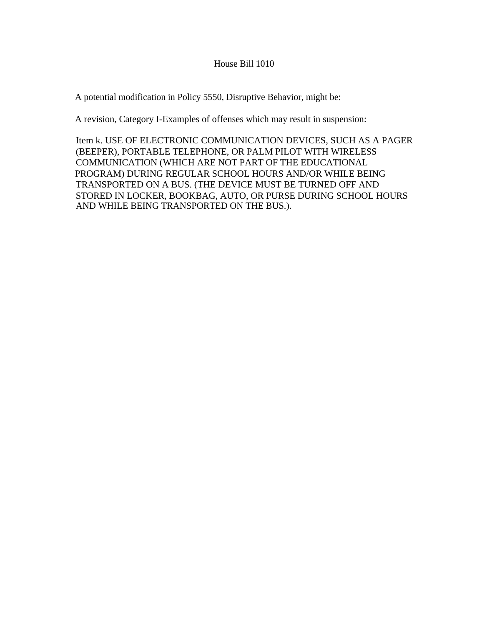### House Bill 1010

A potential modification in Policy 5550, Disruptive Behavior, might be:

A revision, Category I-Examples of offenses which may result in suspension:

Item k. USE OF ELECTRONIC COMMUNICATION DEVICES, SUCH AS A PAGER (BEEPER), PORTABLE TELEPHONE, OR PALM PILOT WITH WIRELESS COMMUNICATION (WHICH ARE NOT PART OF THE EDUCATIONAL PROGRAM) DURING REGULAR SCHOOL HOURS AND/OR WHILE BEING TRANSPORTED ON A BUS. (THE DEVICE MUST BE TURNED OFF AND STORED IN LOCKER, BOOKBAG, AUTO, OR PURSE DURING SCHOOL HOURS AND WHILE BEING TRANSPORTED ON THE BUS.).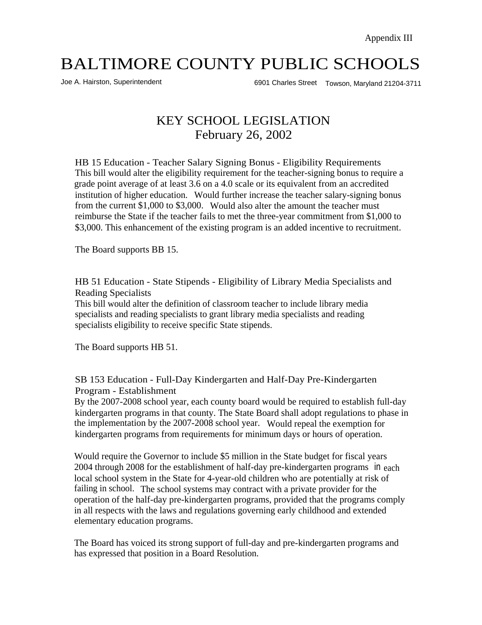Joe A. Hairston, Superintendent 6901 Charles Street Towson, Maryland 21204-3711

# KEY SCHOOL LEGISLATION February 26, 2002

HB 15 Education - Teacher Salary Signing Bonus - Eligibility Requirements This bill would alter the eligibility requirement for the teacher-signing bonus to require a grade point average of at least 3.6 on a 4.0 scale or its equivalent from an accredited institution of higher education. Would further increase the teacher salary-signing bonus from the current \$1,000 to \$3,000. Would also alter the amount the teacher must reimburse the State if the teacher fails to met the three-year commitment from \$1,000 to \$3,000. This enhancement of the existing program is an added incentive to recruitment.

The Board supports BB 15.

HB 51 Education - State Stipends - Eligibility of Library Media Specialists and Reading Specialists

This bill would alter the definition of classroom teacher to include library media specialists and reading specialists to grant library media specialists and reading specialists eligibility to receive specific State stipends.

The Board supports HB 51.

SB 153 Education - Full-Day Kindergarten and Half-Day Pre-Kindergarten Program - Establishment

By the 2007-2008 school year, each county board would be required to establish full-day kindergarten programs in that county. The State Board shall adopt regulations to phase in the implementation by the 2007-2008 school year. Would repeal the exemption for kindergarten programs from requirements for minimum days or hours of operation.

Would require the Governor to include \$5 million in the State budget for fiscal years 2004 through 2008 for the establishment of half-day pre-kindergarten programs in each local school system in the State for 4-year-old children who are potentially at risk of failing in school. The school systems may contract with a private provider for the operation of the half-day pre-kindergarten programs, provided that the programs comply in all respects with the laws and regulations governing early childhood and extended elementary education programs.

The Board has voiced its strong support of full-day and pre-kindergarten programs and has expressed that position in a Board Resolution.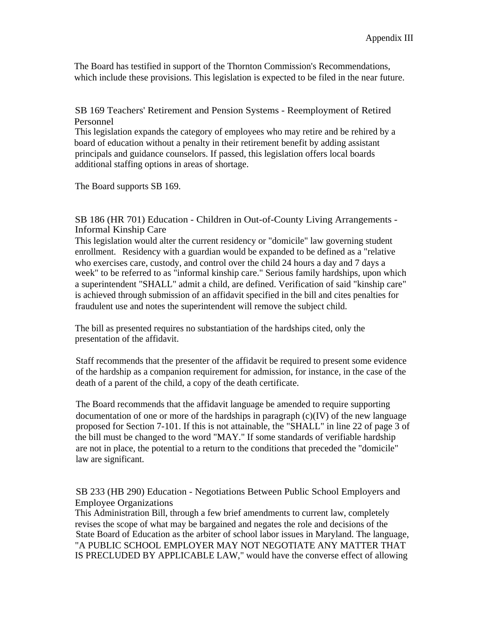The Board has testified in support of the Thornton Commission's Recommendations, which include these provisions. This legislation is expected to be filed in the near future.

SB 169 Teachers' Retirement and Pension Systems - Reemployment of Retired Personnel

This legislation expands the category of employees who may retire and be rehired by a board of education without a penalty in their retirement benefit by adding assistant principals and guidance counselors. If passed, this legislation offers local boards additional staffing options in areas of shortage.

The Board supports SB 169.

SB 186 (HR 701) Education - Children in Out-of-County Living Arrangements - Informal Kinship Care

This legislation would alter the current residency or "domicile" law governing student enrollment. Residency with a guardian would be expanded to be defined as a "relative who exercises care, custody, and control over the child 24 hours a day and 7 days a week" to be referred to as "informal kinship care." Serious family hardships, upon which a superintendent "SHALL" admit a child, are defined. Verification of said "kinship care" is achieved through submission of an affidavit specified in the bill and cites penalties for fraudulent use and notes the superintendent will remove the subject child.

The bill as presented requires no substantiation of the hardships cited, only the presentation of the affidavit.

Staff recommends that the presenter of the affidavit be required to present some evidence of the hardship as a companion requirement for admission, for instance, in the case of the death of a parent of the child, a copy of the death certificate.

The Board recommends that the affidavit language be amended to require supporting documentation of one or more of the hardships in paragraph  $(c)(IV)$  of the new language proposed for Section 7-101. If this is not attainable, the "SHALL" in line 22 of page 3 of the bill must be changed to the word "MAY." If some standards of verifiable hardship are not in place, the potential to a return to the conditions that preceded the "domicile" law are significant.

SB 233 (HB 290) Education - Negotiations Between Public School Employers and Employee Organizations

This Administration Bill, through a few brief amendments to current law, completely revises the scope of what may be bargained and negates the role and decisions of the State Board of Education as the arbiter of school labor issues in Maryland. The language, "A PUBLIC SCHOOL EMPLOYER MAY NOT NEGOTIATE ANY MATTER THAT IS PRECLUDED BY APPLICABLE LAW," would have the converse effect of allowing